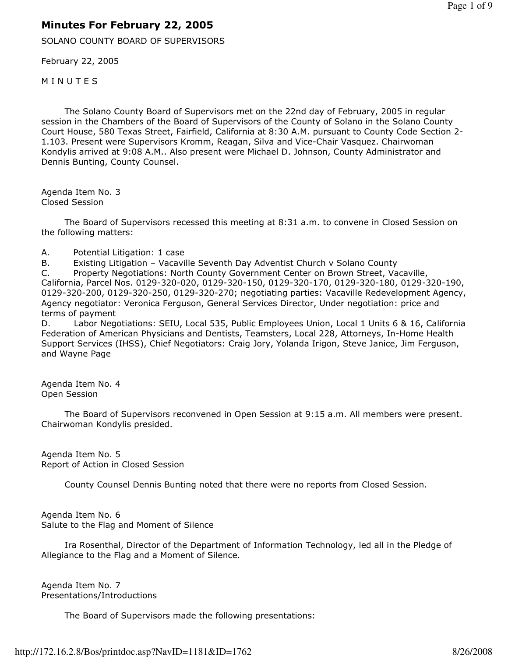## Minutes For February 22, 2005

SOLANO COUNTY BOARD OF SUPERVISORS

February 22, 2005

**MINUTES** 

 The Solano County Board of Supervisors met on the 22nd day of February, 2005 in regular session in the Chambers of the Board of Supervisors of the County of Solano in the Solano County Court House, 580 Texas Street, Fairfield, California at 8:30 A.M. pursuant to County Code Section 2- 1.103. Present were Supervisors Kromm, Reagan, Silva and Vice-Chair Vasquez. Chairwoman Kondylis arrived at 9:08 A.M.. Also present were Michael D. Johnson, County Administrator and Dennis Bunting, County Counsel.

Agenda Item No. 3 Closed Session

 The Board of Supervisors recessed this meeting at 8:31 a.m. to convene in Closed Session on the following matters:

A. Potential Litigation: 1 case

B. Existing Litigation – Vacaville Seventh Day Adventist Church v Solano County

C. Property Negotiations: North County Government Center on Brown Street, Vacaville, California, Parcel Nos. 0129-320-020, 0129-320-150, 0129-320-170, 0129-320-180, 0129-320-190, 0129-320-200, 0129-320-250, 0129-320-270; negotiating parties: Vacaville Redevelopment Agency, Agency negotiator: Veronica Ferguson, General Services Director, Under negotiation: price and terms of payment

D. Labor Negotiations: SEIU, Local 535, Public Employees Union, Local 1 Units 6 & 16, California Federation of American Physicians and Dentists, Teamsters, Local 228, Attorneys, In-Home Health Support Services (IHSS), Chief Negotiators: Craig Jory, Yolanda Irigon, Steve Janice, Jim Ferguson, and Wayne Page

Agenda Item No. 4 Open Session

 The Board of Supervisors reconvened in Open Session at 9:15 a.m. All members were present. Chairwoman Kondylis presided.

Agenda Item No. 5 Report of Action in Closed Session

County Counsel Dennis Bunting noted that there were no reports from Closed Session.

Agenda Item No. 6 Salute to the Flag and Moment of Silence

 Ira Rosenthal, Director of the Department of Information Technology, led all in the Pledge of Allegiance to the Flag and a Moment of Silence.

Agenda Item No. 7 Presentations/Introductions

The Board of Supervisors made the following presentations: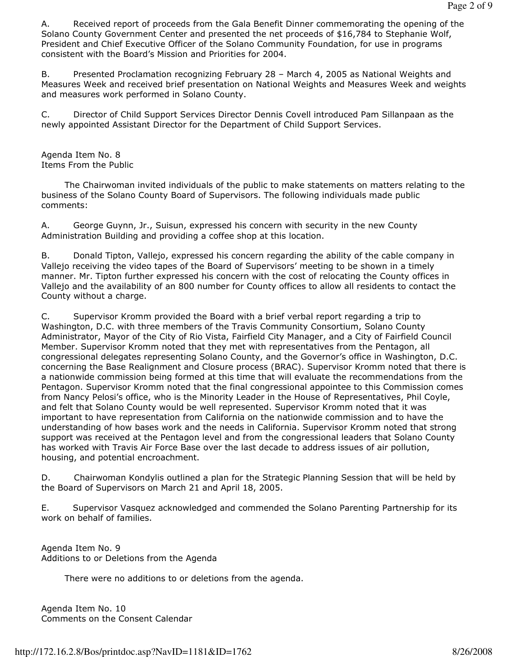A. Received report of proceeds from the Gala Benefit Dinner commemorating the opening of the Solano County Government Center and presented the net proceeds of \$16,784 to Stephanie Wolf, President and Chief Executive Officer of the Solano Community Foundation, for use in programs consistent with the Board's Mission and Priorities for 2004.

B. Presented Proclamation recognizing February 28 – March 4, 2005 as National Weights and Measures Week and received brief presentation on National Weights and Measures Week and weights and measures work performed in Solano County.

C. Director of Child Support Services Director Dennis Covell introduced Pam Sillanpaan as the newly appointed Assistant Director for the Department of Child Support Services.

Agenda Item No. 8 Items From the Public

 The Chairwoman invited individuals of the public to make statements on matters relating to the business of the Solano County Board of Supervisors. The following individuals made public comments:

A. George Guynn, Jr., Suisun, expressed his concern with security in the new County Administration Building and providing a coffee shop at this location.

B. Donald Tipton, Vallejo, expressed his concern regarding the ability of the cable company in Vallejo receiving the video tapes of the Board of Supervisors' meeting to be shown in a timely manner. Mr. Tipton further expressed his concern with the cost of relocating the County offices in Vallejo and the availability of an 800 number for County offices to allow all residents to contact the County without a charge.

C. Supervisor Kromm provided the Board with a brief verbal report regarding a trip to Washington, D.C. with three members of the Travis Community Consortium, Solano County Administrator, Mayor of the City of Rio Vista, Fairfield City Manager, and a City of Fairfield Council Member. Supervisor Kromm noted that they met with representatives from the Pentagon, all congressional delegates representing Solano County, and the Governor's office in Washington, D.C. concerning the Base Realignment and Closure process (BRAC). Supervisor Kromm noted that there is a nationwide commission being formed at this time that will evaluate the recommendations from the Pentagon. Supervisor Kromm noted that the final congressional appointee to this Commission comes from Nancy Pelosi's office, who is the Minority Leader in the House of Representatives, Phil Coyle, and felt that Solano County would be well represented. Supervisor Kromm noted that it was important to have representation from California on the nationwide commission and to have the understanding of how bases work and the needs in California. Supervisor Kromm noted that strong support was received at the Pentagon level and from the congressional leaders that Solano County has worked with Travis Air Force Base over the last decade to address issues of air pollution, housing, and potential encroachment.

D. Chairwoman Kondylis outlined a plan for the Strategic Planning Session that will be held by the Board of Supervisors on March 21 and April 18, 2005.

E. Supervisor Vasquez acknowledged and commended the Solano Parenting Partnership for its work on behalf of families.

Agenda Item No. 9 Additions to or Deletions from the Agenda

There were no additions to or deletions from the agenda.

Agenda Item No. 10 Comments on the Consent Calendar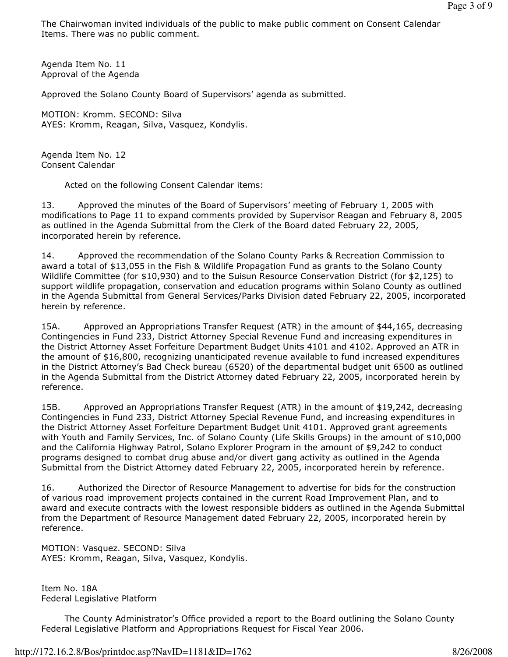The Chairwoman invited individuals of the public to make public comment on Consent Calendar Items. There was no public comment.

Agenda Item No. 11 Approval of the Agenda

Approved the Solano County Board of Supervisors' agenda as submitted.

MOTION: Kromm. SECOND: Silva AYES: Kromm, Reagan, Silva, Vasquez, Kondylis.

Agenda Item No. 12 Consent Calendar

Acted on the following Consent Calendar items:

13. Approved the minutes of the Board of Supervisors' meeting of February 1, 2005 with modifications to Page 11 to expand comments provided by Supervisor Reagan and February 8, 2005 as outlined in the Agenda Submittal from the Clerk of the Board dated February 22, 2005, incorporated herein by reference.

14. Approved the recommendation of the Solano County Parks & Recreation Commission to award a total of \$13,055 in the Fish & Wildlife Propagation Fund as grants to the Solano County Wildlife Committee (for \$10,930) and to the Suisun Resource Conservation District (for \$2,125) to support wildlife propagation, conservation and education programs within Solano County as outlined in the Agenda Submittal from General Services/Parks Division dated February 22, 2005, incorporated herein by reference.

15A. Approved an Appropriations Transfer Request (ATR) in the amount of \$44,165, decreasing Contingencies in Fund 233, District Attorney Special Revenue Fund and increasing expenditures in the District Attorney Asset Forfeiture Department Budget Units 4101 and 4102. Approved an ATR in the amount of \$16,800, recognizing unanticipated revenue available to fund increased expenditures in the District Attorney's Bad Check bureau (6520) of the departmental budget unit 6500 as outlined in the Agenda Submittal from the District Attorney dated February 22, 2005, incorporated herein by reference.

15B. Approved an Appropriations Transfer Request (ATR) in the amount of \$19,242, decreasing Contingencies in Fund 233, District Attorney Special Revenue Fund, and increasing expenditures in the District Attorney Asset Forfeiture Department Budget Unit 4101. Approved grant agreements with Youth and Family Services, Inc. of Solano County (Life Skills Groups) in the amount of \$10,000 and the California Highway Patrol, Solano Explorer Program in the amount of \$9,242 to conduct programs designed to combat drug abuse and/or divert gang activity as outlined in the Agenda Submittal from the District Attorney dated February 22, 2005, incorporated herein by reference.

16. Authorized the Director of Resource Management to advertise for bids for the construction of various road improvement projects contained in the current Road Improvement Plan, and to award and execute contracts with the lowest responsible bidders as outlined in the Agenda Submittal from the Department of Resource Management dated February 22, 2005, incorporated herein by reference.

MOTION: Vasquez. SECOND: Silva AYES: Kromm, Reagan, Silva, Vasquez, Kondylis.

Item No. 18A Federal Legislative Platform

 The County Administrator's Office provided a report to the Board outlining the Solano County Federal Legislative Platform and Appropriations Request for Fiscal Year 2006.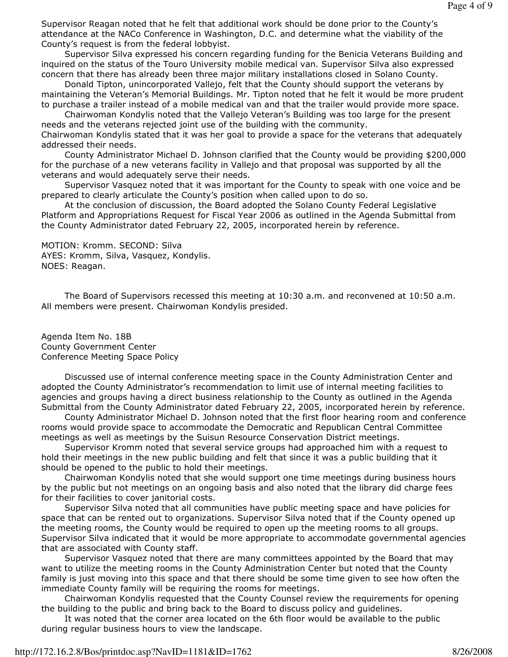Supervisor Reagan noted that he felt that additional work should be done prior to the County's attendance at the NACo Conference in Washington, D.C. and determine what the viability of the County's request is from the federal lobbyist.

 Supervisor Silva expressed his concern regarding funding for the Benicia Veterans Building and inquired on the status of the Touro University mobile medical van. Supervisor Silva also expressed concern that there has already been three major military installations closed in Solano County.

 Donald Tipton, unincorporated Vallejo, felt that the County should support the veterans by maintaining the Veteran's Memorial Buildings. Mr. Tipton noted that he felt it would be more prudent to purchase a trailer instead of a mobile medical van and that the trailer would provide more space.

 Chairwoman Kondylis noted that the Vallejo Veteran's Building was too large for the present needs and the veterans rejected joint use of the building with the community. Chairwoman Kondylis stated that it was her goal to provide a space for the veterans that adequately

addressed their needs. County Administrator Michael D. Johnson clarified that the County would be providing \$200,000 for the purchase of a new veterans facility in Vallejo and that proposal was supported by all the

veterans and would adequately serve their needs. Supervisor Vasquez noted that it was important for the County to speak with one voice and be prepared to clearly articulate the County's position when called upon to do so.

 At the conclusion of discussion, the Board adopted the Solano County Federal Legislative Platform and Appropriations Request for Fiscal Year 2006 as outlined in the Agenda Submittal from the County Administrator dated February 22, 2005, incorporated herein by reference.

## MOTION: Kromm. SECOND: Silva

AYES: Kromm, Silva, Vasquez, Kondylis. NOES: Reagan.

 The Board of Supervisors recessed this meeting at 10:30 a.m. and reconvened at 10:50 a.m. All members were present. Chairwoman Kondylis presided.

Agenda Item No. 18B County Government Center Conference Meeting Space Policy

 Discussed use of internal conference meeting space in the County Administration Center and adopted the County Administrator's recommendation to limit use of internal meeting facilities to agencies and groups having a direct business relationship to the County as outlined in the Agenda Submittal from the County Administrator dated February 22, 2005, incorporated herein by reference.

 County Administrator Michael D. Johnson noted that the first floor hearing room and conference rooms would provide space to accommodate the Democratic and Republican Central Committee meetings as well as meetings by the Suisun Resource Conservation District meetings.

 Supervisor Kromm noted that several service groups had approached him with a request to hold their meetings in the new public building and felt that since it was a public building that it should be opened to the public to hold their meetings.

 Chairwoman Kondylis noted that she would support one time meetings during business hours by the public but not meetings on an ongoing basis and also noted that the library did charge fees for their facilities to cover janitorial costs.

 Supervisor Silva noted that all communities have public meeting space and have policies for space that can be rented out to organizations. Supervisor Silva noted that if the County opened up the meeting rooms, the County would be required to open up the meeting rooms to all groups. Supervisor Silva indicated that it would be more appropriate to accommodate governmental agencies that are associated with County staff.

 Supervisor Vasquez noted that there are many committees appointed by the Board that may want to utilize the meeting rooms in the County Administration Center but noted that the County family is just moving into this space and that there should be some time given to see how often the immediate County family will be requiring the rooms for meetings.

 Chairwoman Kondylis requested that the County Counsel review the requirements for opening the building to the public and bring back to the Board to discuss policy and guidelines.

 It was noted that the corner area located on the 6th floor would be available to the public during regular business hours to view the landscape.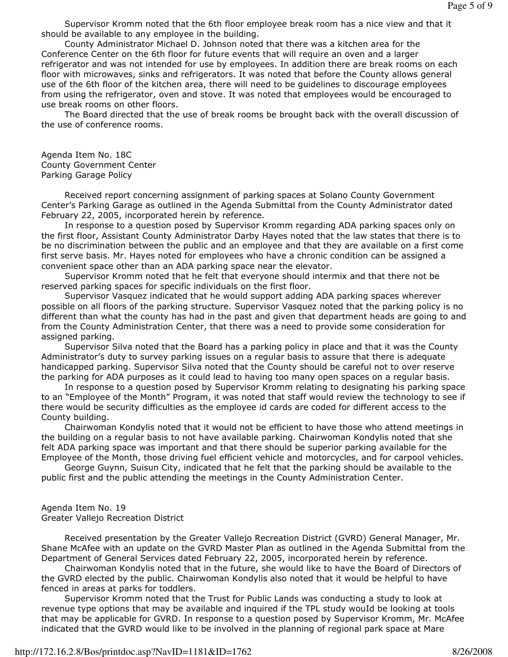Supervisor Kromm noted that the 6th floor employee break room has a nice view and that it should be available to any employee in the building.

 County Administrator Michael D. Johnson noted that there was a kitchen area for the Conference Center on the 6th floor for future events that will require an oven and a larger refrigerator and was not intended for use by employees. In addition there are break rooms on each floor with microwaves, sinks and refrigerators. It was noted that before the County allows general use of the 6th floor of the kitchen area, there will need to be guidelines to discourage employees from using the refrigerator, oven and stove. It was noted that employees would be encouraged to use break rooms on other floors.

 The Board directed that the use of break rooms be brought back with the overall discussion of the use of conference rooms.

Agenda Item No. 18C County Government Center Parking Garage Policy

 Received report concerning assignment of parking spaces at Solano County Government Center's Parking Garage as outlined in the Agenda Submittal from the County Administrator dated February 22, 2005, incorporated herein by reference.

 In response to a question posed by Supervisor Kromm regarding ADA parking spaces only on the first floor, Assistant County Administrator Darby Hayes noted that the law states that there is to be no discrimination between the public and an employee and that they are available on a first come first serve basis. Mr. Hayes noted for employees who have a chronic condition can be assigned a convenient space other than an ADA parking space near the elevator.

 Supervisor Kromm noted that he felt that everyone should intermix and that there not be reserved parking spaces for specific individuals on the first floor.

 Supervisor Vasquez indicated that he would support adding ADA parking spaces wherever possible on all floors of the parking structure. Supervisor Vasquez noted that the parking policy is no different than what the county has had in the past and given that department heads are going to and from the County Administration Center, that there was a need to provide some consideration for assigned parking.

 Supervisor Silva noted that the Board has a parking policy in place and that it was the County Administrator's duty to survey parking issues on a regular basis to assure that there is adequate handicapped parking. Supervisor Silva noted that the County should be careful not to over reserve the parking for ADA purposes as it could lead to having too many open spaces on a regular basis.

 In response to a question posed by Supervisor Kromm relating to designating his parking space to an "Employee of the Month" Program, it was noted that staff would review the technology to see if there would be security difficulties as the employee id cards are coded for different access to the County building.

 Chairwoman Kondylis noted that it would not be efficient to have those who attend meetings in the building on a regular basis to not have available parking. Chairwoman Kondylis noted that she felt ADA parking space was important and that there should be superior parking available for the Employee of the Month, those driving fuel efficient vehicle and motorcycles, and for carpool vehicles.

 George Guynn, Suisun City, indicated that he felt that the parking should be available to the public first and the public attending the meetings in the County Administration Center.

## Agenda Item No. 19 Greater Vallejo Recreation District

 Received presentation by the Greater Vallejo Recreation District (GVRD) General Manager, Mr. Shane McAfee with an update on the GVRD Master Plan as outlined in the Agenda Submittal from the Department of General Services dated February 22, 2005, incorporated herein by reference.

 Chairwoman Kondylis noted that in the future, she would like to have the Board of Directors of the GVRD elected by the public. Chairwoman Kondylis also noted that it would be helpful to have fenced in areas at parks for toddlers.

 Supervisor Kromm noted that the Trust for Public Lands was conducting a study to look at revenue type options that may be available and inquired if the TPL study wouId be looking at tools that may be applicable for GVRD. In response to a question posed by Supervisor Kromm, Mr. McAfee indicated that the GVRD would like to be involved in the planning of regional park space at Mare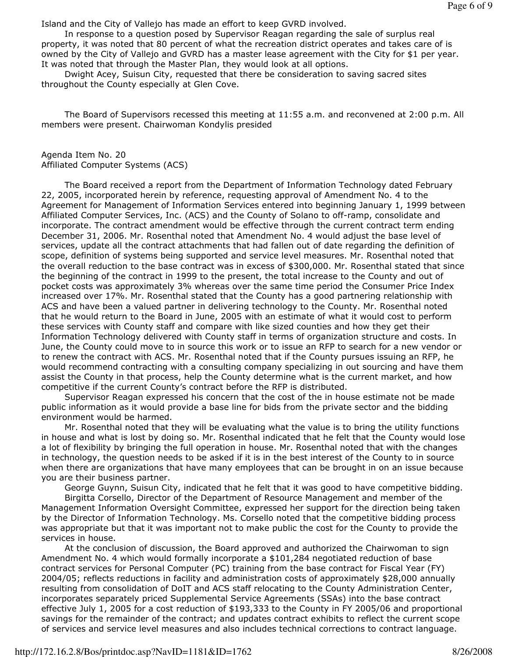Island and the City of Vallejo has made an effort to keep GVRD involved.

 In response to a question posed by Supervisor Reagan regarding the sale of surplus real property, it was noted that 80 percent of what the recreation district operates and takes care of is owned by the City of Vallejo and GVRD has a master lease agreement with the City for \$1 per year. It was noted that through the Master Plan, they would look at all options.

 Dwight Acey, Suisun City, requested that there be consideration to saving sacred sites throughout the County especially at Glen Cove.

 The Board of Supervisors recessed this meeting at 11:55 a.m. and reconvened at 2:00 p.m. All members were present. Chairwoman Kondylis presided

Agenda Item No. 20 Affiliated Computer Systems (ACS)

 The Board received a report from the Department of Information Technology dated February 22, 2005, incorporated herein by reference, requesting approval of Amendment No. 4 to the Agreement for Management of Information Services entered into beginning January 1, 1999 between Affiliated Computer Services, Inc. (ACS) and the County of Solano to off-ramp, consolidate and incorporate. The contract amendment would be effective through the current contract term ending December 31, 2006. Mr. Rosenthal noted that Amendment No. 4 would adjust the base level of services, update all the contract attachments that had fallen out of date regarding the definition of scope, definition of systems being supported and service level measures. Mr. Rosenthal noted that the overall reduction to the base contract was in excess of \$300,000. Mr. Rosenthal stated that since the beginning of the contract in 1999 to the present, the total increase to the County and out of pocket costs was approximately 3% whereas over the same time period the Consumer Price Index increased over 17%. Mr. Rosenthal stated that the County has a good partnering relationship with ACS and have been a valued partner in delivering technology to the County. Mr. Rosenthal noted that he would return to the Board in June, 2005 with an estimate of what it would cost to perform these services with County staff and compare with like sized counties and how they get their Information Technology delivered with County staff in terms of organization structure and costs. In June, the County could move to in source this work or to issue an RFP to search for a new vendor or to renew the contract with ACS. Mr. Rosenthal noted that if the County pursues issuing an RFP, he would recommend contracting with a consulting company specializing in out sourcing and have them assist the County in that process, help the County determine what is the current market, and how competitive if the current County's contract before the RFP is distributed.

 Supervisor Reagan expressed his concern that the cost of the in house estimate not be made public information as it would provide a base line for bids from the private sector and the bidding environment would be harmed.

 Mr. Rosenthal noted that they will be evaluating what the value is to bring the utility functions in house and what is lost by doing so. Mr. Rosenthal indicated that he felt that the County would lose a lot of flexibility by bringing the full operation in house. Mr. Rosenthal noted that with the changes in technology, the question needs to be asked if it is in the best interest of the County to in source when there are organizations that have many employees that can be brought in on an issue because you are their business partner.

George Guynn, Suisun City, indicated that he felt that it was good to have competitive bidding.

 Birgitta Corsello, Director of the Department of Resource Management and member of the Management Information Oversight Committee, expressed her support for the direction being taken by the Director of Information Technology. Ms. Corsello noted that the competitive bidding process was appropriate but that it was important not to make public the cost for the County to provide the services in house.

 At the conclusion of discussion, the Board approved and authorized the Chairwoman to sign Amendment No. 4 which would formally incorporate a \$101,284 negotiated reduction of base contract services for Personal Computer (PC) training from the base contract for Fiscal Year (FY) 2004/05; reflects reductions in facility and administration costs of approximately \$28,000 annually resulting from consolidation of DoIT and ACS staff relocating to the County Administration Center, incorporates separately priced Supplemental Service Agreements (SSAs) into the base contract effective July 1, 2005 for a cost reduction of \$193,333 to the County in FY 2005/06 and proportional savings for the remainder of the contract; and updates contract exhibits to reflect the current scope of services and service level measures and also includes technical corrections to contract language.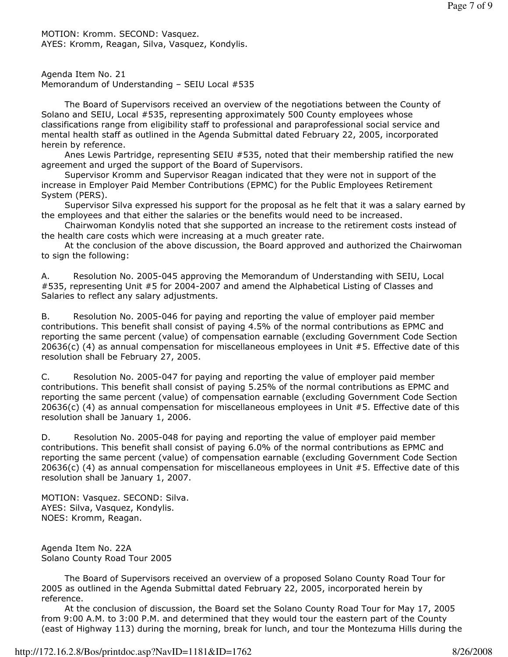MOTION: Kromm. SECOND: Vasquez. AYES: Kromm, Reagan, Silva, Vasquez, Kondylis.

Agenda Item No. 21 Memorandum of Understanding – SEIU Local #535

 The Board of Supervisors received an overview of the negotiations between the County of Solano and SEIU, Local #535, representing approximately 500 County employees whose classifications range from eligibility staff to professional and paraprofessional social service and mental health staff as outlined in the Agenda Submittal dated February 22, 2005, incorporated herein by reference.

 Anes Lewis Partridge, representing SEIU #535, noted that their membership ratified the new agreement and urged the support of the Board of Supervisors.

 Supervisor Kromm and Supervisor Reagan indicated that they were not in support of the increase in Employer Paid Member Contributions (EPMC) for the Public Employees Retirement System (PERS).

 Supervisor Silva expressed his support for the proposal as he felt that it was a salary earned by the employees and that either the salaries or the benefits would need to be increased.

 Chairwoman Kondylis noted that she supported an increase to the retirement costs instead of the health care costs which were increasing at a much greater rate.

 At the conclusion of the above discussion, the Board approved and authorized the Chairwoman to sign the following:

A. Resolution No. 2005-045 approving the Memorandum of Understanding with SEIU, Local #535, representing Unit #5 for 2004-2007 and amend the Alphabetical Listing of Classes and Salaries to reflect any salary adjustments.

B. Resolution No. 2005-046 for paying and reporting the value of employer paid member contributions. This benefit shall consist of paying 4.5% of the normal contributions as EPMC and reporting the same percent (value) of compensation earnable (excluding Government Code Section 20636(c) (4) as annual compensation for miscellaneous employees in Unit #5. Effective date of this resolution shall be February 27, 2005.

C. Resolution No. 2005-047 for paying and reporting the value of employer paid member contributions. This benefit shall consist of paying 5.25% of the normal contributions as EPMC and reporting the same percent (value) of compensation earnable (excluding Government Code Section  $20636(c)$  (4) as annual compensation for miscellaneous employees in Unit #5. Effective date of this resolution shall be January 1, 2006.

D. Resolution No. 2005-048 for paying and reporting the value of employer paid member contributions. This benefit shall consist of paying 6.0% of the normal contributions as EPMC and reporting the same percent (value) of compensation earnable (excluding Government Code Section 20636(c) (4) as annual compensation for miscellaneous employees in Unit #5. Effective date of this resolution shall be January 1, 2007.

MOTION: Vasquez. SECOND: Silva. AYES: Silva, Vasquez, Kondylis. NOES: Kromm, Reagan.

Agenda Item No. 22A Solano County Road Tour 2005

 The Board of Supervisors received an overview of a proposed Solano County Road Tour for 2005 as outlined in the Agenda Submittal dated February 22, 2005, incorporated herein by reference.

 At the conclusion of discussion, the Board set the Solano County Road Tour for May 17, 2005 from 9:00 A.M. to 3:00 P.M. and determined that they would tour the eastern part of the County (east of Highway 113) during the morning, break for lunch, and tour the Montezuma Hills during the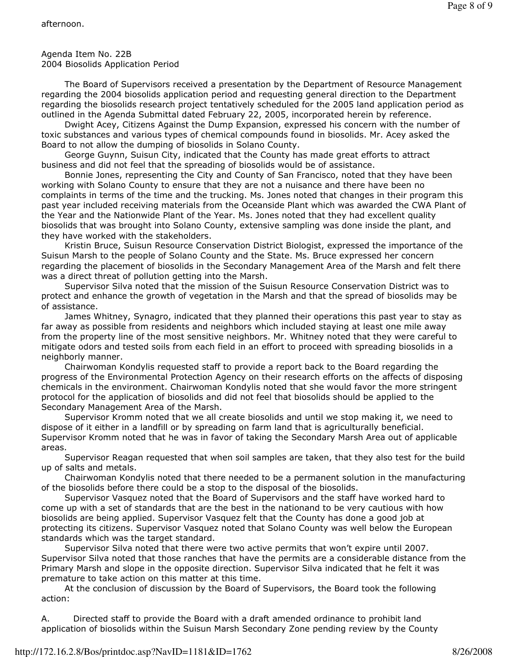The Board of Supervisors received a presentation by the Department of Resource Management regarding the 2004 biosolids application period and requesting general direction to the Department regarding the biosolids research project tentatively scheduled for the 2005 land application period as outlined in the Agenda Submittal dated February 22, 2005, incorporated herein by reference.

 Dwight Acey, Citizens Against the Dump Expansion, expressed his concern with the number of toxic substances and various types of chemical compounds found in biosolids. Mr. Acey asked the Board to not allow the dumping of biosolids in Solano County.

 George Guynn, Suisun City, indicated that the County has made great efforts to attract business and did not feel that the spreading of biosolids would be of assistance.

 Bonnie Jones, representing the City and County of San Francisco, noted that they have been working with Solano County to ensure that they are not a nuisance and there have been no complaints in terms of the time and the trucking. Ms. Jones noted that changes in their program this past year included receiving materials from the Oceanside Plant which was awarded the CWA Plant of the Year and the Nationwide Plant of the Year. Ms. Jones noted that they had excellent quality biosolids that was brought into Solano County, extensive sampling was done inside the plant, and they have worked with the stakeholders.

 Kristin Bruce, Suisun Resource Conservation District Biologist, expressed the importance of the Suisun Marsh to the people of Solano County and the State. Ms. Bruce expressed her concern regarding the placement of biosolids in the Secondary Management Area of the Marsh and felt there was a direct threat of pollution getting into the Marsh.

 Supervisor Silva noted that the mission of the Suisun Resource Conservation District was to protect and enhance the growth of vegetation in the Marsh and that the spread of biosolids may be of assistance.

 James Whitney, Synagro, indicated that they planned their operations this past year to stay as far away as possible from residents and neighbors which included staying at least one mile away from the property line of the most sensitive neighbors. Mr. Whitney noted that they were careful to mitigate odors and tested soils from each field in an effort to proceed with spreading biosolids in a neighborly manner.

 Chairwoman Kondylis requested staff to provide a report back to the Board regarding the progress of the Environmental Protection Agency on their research efforts on the affects of disposing chemicals in the environment. Chairwoman Kondylis noted that she would favor the more stringent protocol for the application of biosolids and did not feel that biosolids should be applied to the Secondary Management Area of the Marsh.

 Supervisor Kromm noted that we all create biosolids and until we stop making it, we need to dispose of it either in a landfill or by spreading on farm land that is agriculturally beneficial. Supervisor Kromm noted that he was in favor of taking the Secondary Marsh Area out of applicable areas.

 Supervisor Reagan requested that when soil samples are taken, that they also test for the build up of salts and metals.

 Chairwoman Kondylis noted that there needed to be a permanent solution in the manufacturing of the biosolids before there could be a stop to the disposal of the biosolids.

 Supervisor Vasquez noted that the Board of Supervisors and the staff have worked hard to come up with a set of standards that are the best in the nationand to be very cautious with how biosolids are being applied. Supervisor Vasquez felt that the County has done a good job at protecting its citizens. Supervisor Vasquez noted that Solano County was well below the European standards which was the target standard.

 Supervisor Silva noted that there were two active permits that won't expire until 2007. Supervisor Silva noted that those ranches that have the permits are a considerable distance from the Primary Marsh and slope in the opposite direction. Supervisor Silva indicated that he felt it was premature to take action on this matter at this time.

 At the conclusion of discussion by the Board of Supervisors, the Board took the following action:

A. Directed staff to provide the Board with a draft amended ordinance to prohibit land application of biosolids within the Suisun Marsh Secondary Zone pending review by the County